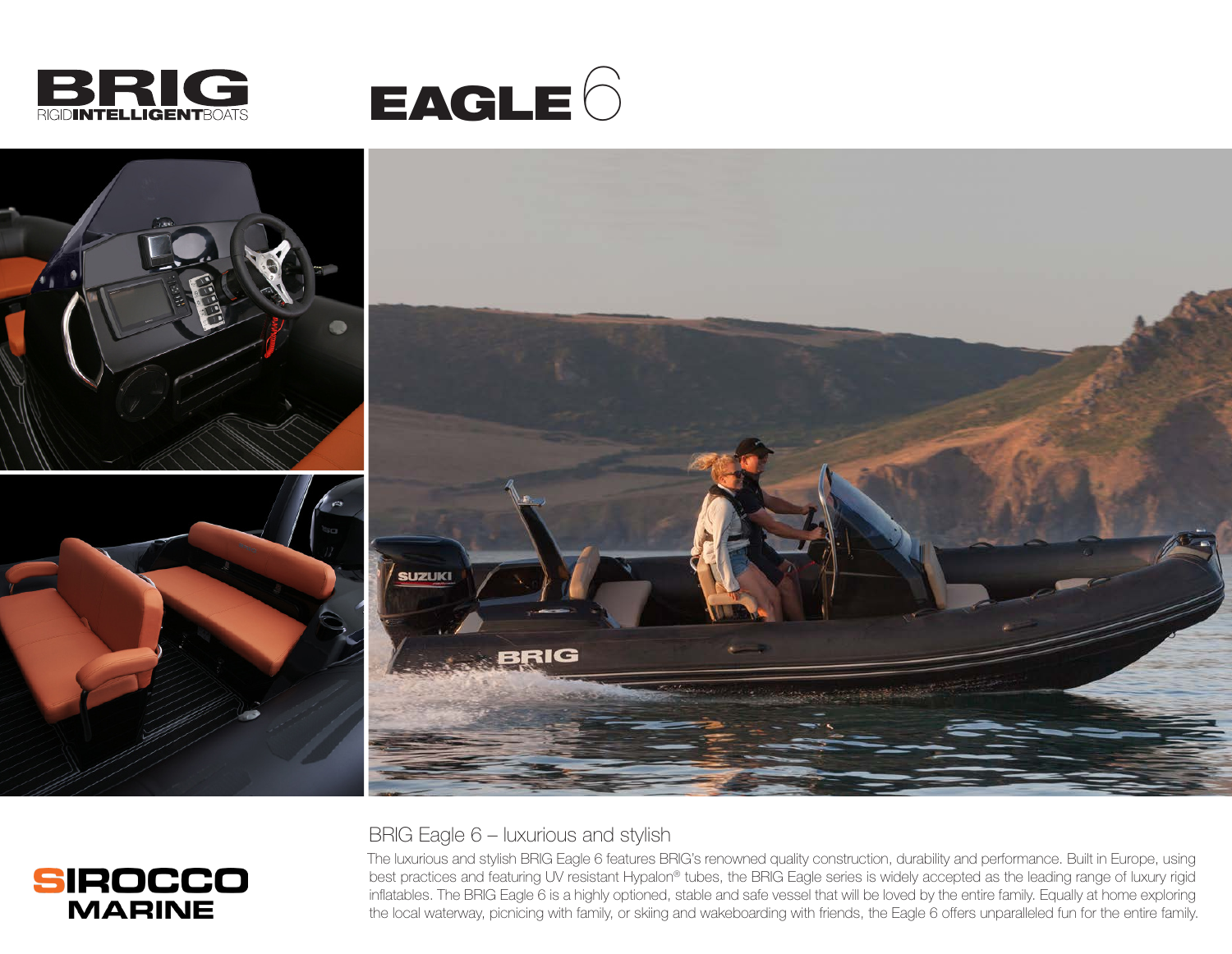

**SIROCCO MARINE** 





## BRIG Eagle 6 – luxurious and stylish

The luxurious and stylish BRIG Eagle 6 features BRIG's renowned quality construction, durability and performance. Built in Europe, using best practices and featuring UV resistant Hypalon® tubes, the BRIG Eagle series is widely accepted as the leading range of luxury rigid inflatables. The BRIG Eagle 6 is a highly optioned, stable and safe vessel that will be loved by the entire family. Equally at home exploring the local waterway, picnicing with family, or skiing and wakeboarding with friends, the Eagle 6 offers unparalleled fun for the entire family.